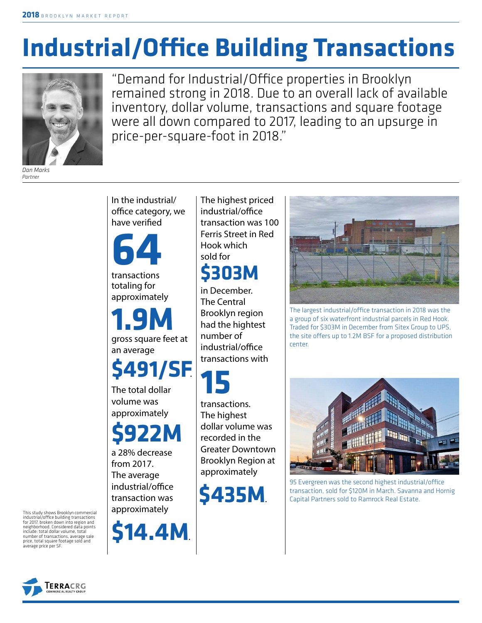# **Industrial/Office Building Transactions**



"Demand for Industrial/Office properties in Brooklyn remained strong in 2018. Due to an overall lack of available inventory, dollar volume, transactions and square footage were all down compared to 2017, leading to an upsurge in price-per-square-foot in 2018."

*Dan Marks Partner*

In the industrial/ office category, we have verified

**64**

transactions totaling for approximately

gross square feet at an average **1.9M**

## **\$491/SF**.

The total dollar volume was approximately



a 28% decrease from 2017. The average industrial/office transaction was approximately



The highest priced industrial/office transaction was 100 Ferris Street in Red Hook which sold for

### **\$303M**

in December. The Central Brooklyn region had the hightest number of industrial/office transactions with

**15**

transactions. The highest dollar volume was recorded in the Greater Downtown Brooklyn Region at approximately

**\$435M**.



The largest industrial/office transaction in 2018 was the a group of six waterfront industrial parcels in Red Hook. Traded for \$303M in December from Sitex Group to UPS, the site offers up to 1.2M BSF for a proposed distribution center.



95 Evergreen was the second highest industrial/office transaction, sold for \$120M in March. Savanna and Hornig Capital Partners sold to Ramrock Real Estate.

This study shows Brooklyn commercial industrial/office building transactions for 2017, broken down into region and neighborhood. Considered data points include: total dollar volume, total number of transactions, average sale price, total square footage sold and average price per SF.

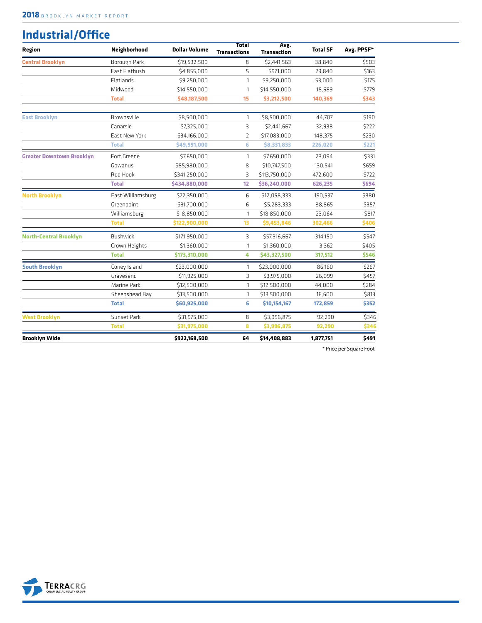#### **Industrial/Office**

| Region                           | Neighborhood      | <b>Dollar Volume</b> | <b>Total</b><br><b>Transactions</b> | Avg.<br><b>Transaction</b> | <b>Total SF</b> | Avg. PPSF* |
|----------------------------------|-------------------|----------------------|-------------------------------------|----------------------------|-----------------|------------|
| <b>Central Brooklyn</b>          | Borough Park      | \$19,532,500         | 8                                   | \$2,441,563                | 38,840          | \$503      |
|                                  | East Flatbush     | \$4,855,000          | 5                                   | \$971,000                  | 29,840          | \$163      |
|                                  | Flatlands         | \$9,250,000          | 1                                   | \$9,250,000                | 53,000          | \$175      |
|                                  | Midwood           | \$14,550,000         | 1                                   | \$14,550,000               | 18,689          | \$779      |
|                                  | <b>Total</b>      | \$48,187,500         | 15                                  | \$3,212,500                | 140,369         | \$343      |
| <b>East Brooklyn</b>             | Brownsville       | \$8,500,000          | 1                                   | \$8,500,000                | 44,707          | \$190      |
|                                  | Canarsie          | \$7,325,000          | $\overline{3}$                      | \$2,441,667                | 32,938          | \$222      |
|                                  | East New York     | \$34,166,000         | $\overline{2}$                      | \$17,083,000               | 148,375         | \$230      |
|                                  | <b>Total</b>      | \$49,991,000         | 6                                   | \$8,331,833                | 226,020         | \$221      |
| <b>Greater Downtown Brooklyn</b> | Fort Greene       | \$7,650,000          | 1                                   | \$7,650,000                | 23,094          | \$331      |
|                                  | Gowanus           | \$85,980,000         | 8                                   | \$10,747,500               | 130,541         | \$659      |
|                                  | Red Hook          | \$341,250,000        | $\overline{3}$                      | \$113,750,000              | 472,600         | \$722      |
|                                  | <b>Total</b>      | \$434,880,000        | 12                                  | \$36,240,000               | 626,235         | \$694      |
| <b>North Brooklyn</b>            | East Williamsburg | \$72,350,000         | 6                                   | \$12,058,333               | 190.537         | \$380      |
|                                  | Greenpoint        | \$31,700,000         | 6                                   | \$5,283,333                | 88,865          | \$357      |
|                                  | Williamsburg      | \$18,850,000         | 1                                   | \$18,850,000               | 23,064          | \$817      |
|                                  | <b>Total</b>      | \$122,900,000        | 13                                  | \$9,453,846                | 302,466         | \$406      |
| <b>North-Central Brooklyn</b>    | <b>Bushwick</b>   | \$171,950,000        | З                                   | \$57,316,667               | 314.150         | \$547      |
|                                  | Crown Heights     | \$1.360.000          | 1                                   | \$1,360,000                | 3.362           | \$405      |
|                                  | <b>Total</b>      | \$173,310,000        | 4                                   | \$43,327,500               | 317,512         | \$546      |
| <b>South Brooklyn</b>            | Coney Island      | \$23,000,000         | 1                                   | \$23,000,000               | 86.160          | \$267      |
|                                  | Gravesend         | \$11,925,000         | 3                                   | \$3,975,000                | 26,099          | \$457      |
|                                  | Marine Park       | \$12,500,000         | 1                                   | \$12,500,000               | 44,000          | \$284      |
|                                  | Sheepshead Bay    | \$13,500,000         | 1                                   | \$13,500,000               | 16.600          | \$813      |
|                                  | <b>Total</b>      | \$60,925,000         | 6                                   | \$10,154,167               | 172,859         | \$352      |
| <b>West Brooklyn</b>             | Sunset Park       | \$31,975,000         | 8                                   | \$3,996,875                | 92,290          | \$346      |
|                                  | <b>Total</b>      | \$31,975,000         | 8                                   | \$3,996,875                | 92,290          | \$346      |
| <b>Brooklyn Wide</b>             |                   | \$922,168,500        | 64                                  | \$14,408,883               | 1.877.751       | \$491      |

\* Price per Square Foot